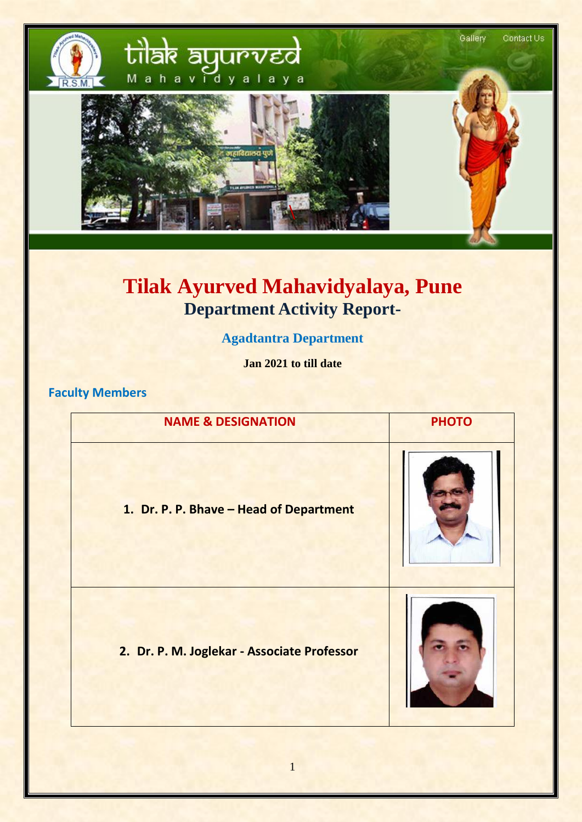

# **Tilak Ayurved Mahavidyalaya, Pune Department Activity Report-**

## **Agadtantra Department**

**Jan 2021 to till date**

#### **Faculty Members**

| <b>NAME &amp; DESIGNATION</b>               | <b>PHOTO</b> |
|---------------------------------------------|--------------|
| 1. Dr. P. P. Bhave - Head of Department     |              |
| 2. Dr. P. M. Joglekar - Associate Professor |              |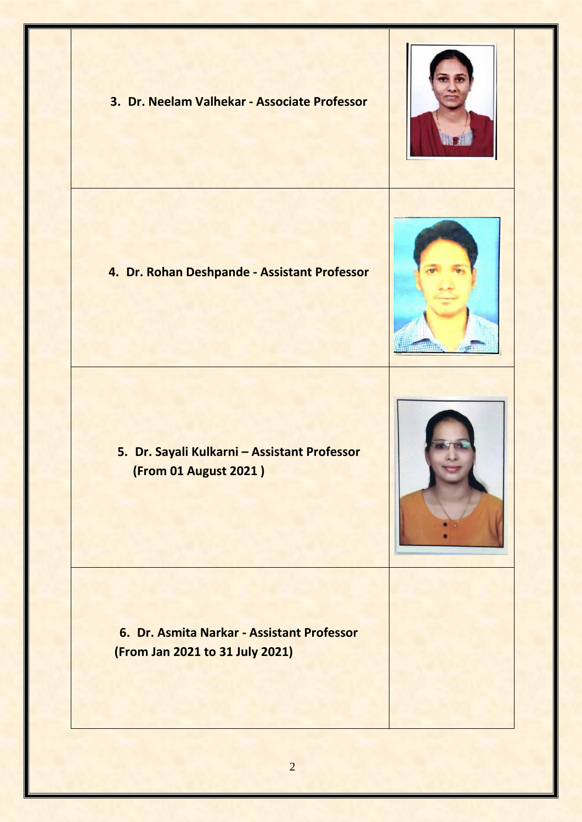









**5. Dr. Sayali Kulkarni – Assistant Professor (From 01 August 2021 )**

**6. Dr. Asmita Narkar - Assistant Professor (From Jan 2021 to 31 July 2021)**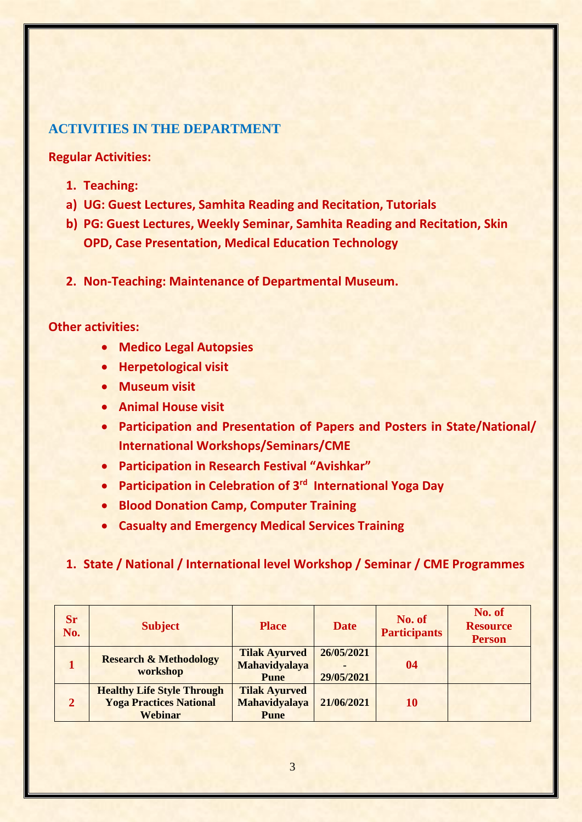#### **ACTIVITIES IN THE DEPARTMENT**

**Regular Activities:**

- **1. Teaching:**
- **a) UG: Guest Lectures, Samhita Reading and Recitation, Tutorials**
- **b) PG: Guest Lectures, Weekly Seminar, Samhita Reading and Recitation, Skin OPD, Case Presentation, Medical Education Technology**
- **2. Non-Teaching: Maintenance of Departmental Museum.**

#### **Other activities:**

- **Medico Legal Autopsies**
- **Herpetological visit**
- **Museum visit**
- **Animal House visit**
- **Participation and Presentation of Papers and Posters in State/National/ International Workshops/Seminars/CME**
- **Participation in Research Festival "Avishkar"**
- **Participation in Celebration of 3rd International Yoga Day**
- **Blood Donation Camp, Computer Training**
- **Casualty and Emergency Medical Services Training**

#### **1. State / National / International level Workshop / Seminar / CME Programmes**

| <b>Sr</b><br>No. | <b>Subject</b>                                                                        | <b>Place</b>                                                | <b>Date</b>              | No. of<br><b>Participants</b> | No. of<br><b>Resource</b><br><b>Person</b> |
|------------------|---------------------------------------------------------------------------------------|-------------------------------------------------------------|--------------------------|-------------------------------|--------------------------------------------|
|                  | <b>Research &amp; Methodology</b><br>workshop                                         | <b>Tilak Ayurved</b><br>Mahavidyalaya<br><b>Pune</b>        | 26/05/2021<br>29/05/2021 | 04                            |                                            |
| $\overline{2}$   | <b>Healthy Life Style Through</b><br><b>Yoga Practices National</b><br><b>Webinar</b> | <b>Tilak Ayurved</b><br><b>Mahavidyalaya</b><br><b>Pune</b> | 21/06/2021               | 10                            |                                            |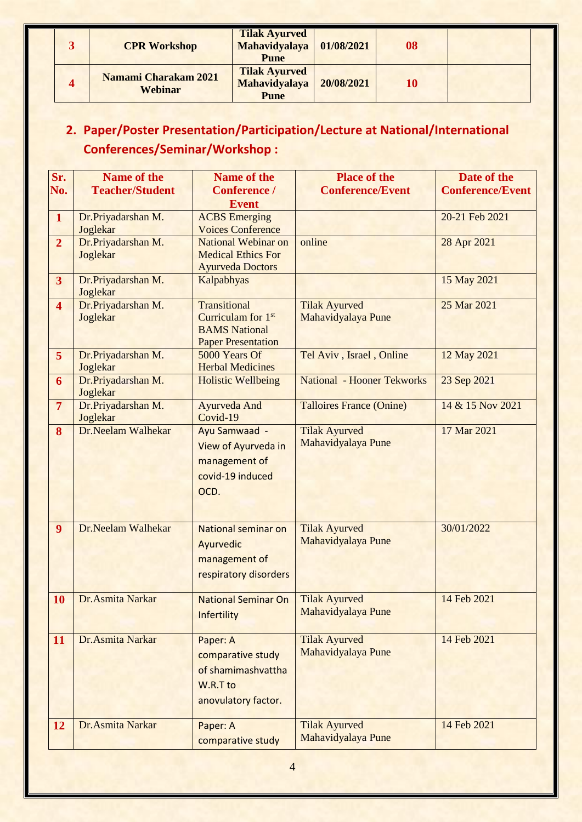| <b>CPR Workshop</b>                    | <b>Tilak Ayurved</b><br><b>Mahavidyalaya</b><br><b>Pune</b> | 01/08/2021 | 08 |  |
|----------------------------------------|-------------------------------------------------------------|------------|----|--|
| <b>Namami Charakam 2021</b><br>Webinar | <b>Tilak Ayurved</b><br><b>Mahavidyalaya</b><br><b>Pune</b> | 20/08/2021 | 10 |  |

## **2. Paper/Poster Presentation/Participation/Lecture at National/International Conferences/Seminar/Workshop :**

| Sr.                     | <b>Name of the</b>             | <b>Name of the</b>             | <b>Place of the</b>               | Date of the             |
|-------------------------|--------------------------------|--------------------------------|-----------------------------------|-------------------------|
| No.                     | <b>Teacher/Student</b>         | <b>Conference /</b>            | <b>Conference/Event</b>           | <b>Conference/Event</b> |
|                         |                                | <b>Event</b>                   |                                   |                         |
| $\mathbf{1}$            | Dr.Priyadarshan M.             | <b>ACBS</b> Emerging           |                                   | 20-21 Feb 2021          |
|                         | Joglekar                       | <b>Voices Conference</b>       |                                   |                         |
| $\overline{2}$          | Dr.Priyadarshan M.             | <b>National Webinar on</b>     | online                            | 28 Apr 2021             |
|                         | Joglekar                       | <b>Medical Ethics For</b>      |                                   |                         |
|                         |                                | <b>Ayurveda Doctors</b>        |                                   |                         |
| 3 <sup>1</sup>          | Dr.Priyadarshan M.             | Kalpabhyas                     |                                   | 15 May 2021             |
| $\overline{\mathbf{4}}$ | Joglekar<br>Dr.Priyadarshan M. | <b>Transitional</b>            | <b>Tilak Ayurved</b>              | 25 Mar 2021             |
|                         | Joglekar                       | Curriculam for 1 <sup>st</sup> | Mahavidyalaya Pune                |                         |
|                         |                                | <b>BAMS</b> National           |                                   |                         |
|                         |                                | <b>Paper Presentation</b>      |                                   |                         |
| 5 <sup>5</sup>          | Dr.Priyadarshan M.             | 5000 Years Of                  | Tel Aviv, Israel, Online          | 12 May 2021             |
|                         | Joglekar                       | <b>Herbal Medicines</b>        |                                   |                         |
| 6                       | Dr.Priyadarshan M.             | <b>Holistic Wellbeing</b>      | <b>National - Hooner Tekworks</b> | 23 Sep 2021             |
|                         | Joglekar                       |                                |                                   |                         |
| $\overline{7}$          | Dr.Priyadarshan M.             | <b>Ayurveda And</b>            | <b>Talloires France (Onine)</b>   | 14 & 15 Nov 2021        |
|                         | Joglekar                       | Covid-19                       |                                   |                         |
| 8                       | Dr.Neelam Walhekar             | Ayu Samwaad -                  | <b>Tilak Ayurved</b>              | 17 Mar 2021             |
|                         |                                | View of Ayurveda in            | Mahavidyalaya Pune                |                         |
|                         |                                | management of                  |                                   |                         |
|                         |                                | covid-19 induced               |                                   |                         |
|                         |                                | OCD.                           |                                   |                         |
|                         |                                |                                |                                   |                         |
|                         |                                |                                |                                   |                         |
| $\overline{9}$          | Dr.Neelam Walhekar             | <b>National seminar on</b>     | <b>Tilak Ayurved</b>              | 30/01/2022              |
|                         |                                | Ayurvedic                      | Mahavidyalaya Pune                |                         |
|                         |                                | management of                  |                                   |                         |
|                         |                                | respiratory disorders          |                                   |                         |
|                         |                                |                                |                                   |                         |
| <b>10</b>               | Dr.Asmita Narkar               | <b>National Seminar On</b>     | <b>Tilak Ayurved</b>              | 14 Feb 2021             |
|                         |                                | Infertility                    | Mahavidyalaya Pune                |                         |
|                         |                                |                                |                                   |                         |
| 11                      | Dr.Asmita Narkar               | Paper: A                       | <b>Tilak Ayurved</b>              | 14 Feb 2021             |
|                         |                                | comparative study              | Mahavidyalaya Pune                |                         |
|                         |                                | of shamimashvattha             |                                   |                         |
|                         |                                | W.R.T to                       |                                   |                         |
|                         |                                |                                |                                   |                         |
|                         |                                | anovulatory factor.            |                                   |                         |
| 12                      | Dr.Asmita Narkar               | Paper: A                       | <b>Tilak Ayurved</b>              | 14 Feb 2021             |
|                         |                                | comparative study              | Mahavidyalaya Pune                |                         |
|                         |                                |                                |                                   |                         |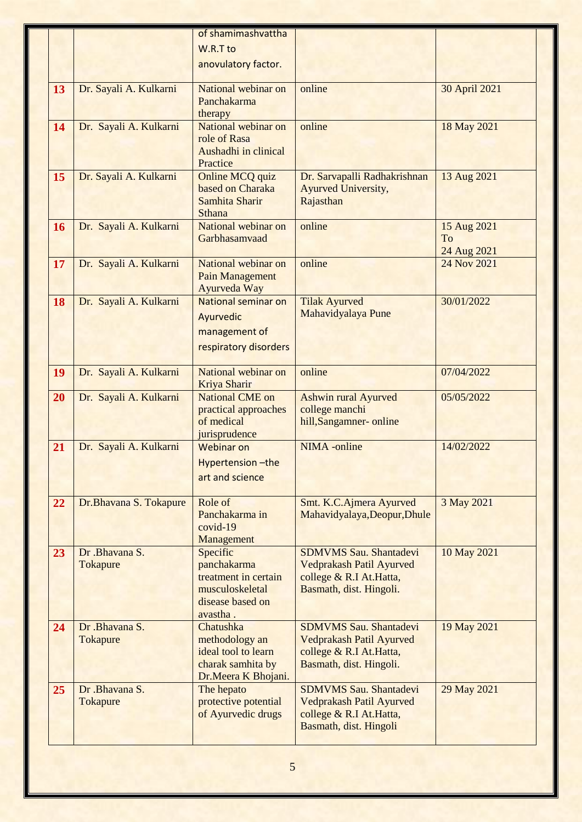|    |                        | of shamimashvattha                         |                                                      |               |
|----|------------------------|--------------------------------------------|------------------------------------------------------|---------------|
|    |                        | W.R.T to                                   |                                                      |               |
|    |                        | anovulatory factor.                        |                                                      |               |
|    |                        |                                            |                                                      |               |
| 13 | Dr. Sayali A. Kulkarni | National webinar on                        | online                                               | 30 April 2021 |
|    |                        | Panchakarma                                |                                                      |               |
| 14 | Dr. Sayali A. Kulkarni | therapy<br>National webinar on             | online                                               | 18 May 2021   |
|    |                        | role of Rasa                               |                                                      |               |
|    |                        | Aushadhi in clinical                       |                                                      |               |
|    |                        | Practice                                   |                                                      |               |
| 15 | Dr. Sayali A. Kulkarni | Online MCQ quiz                            | Dr. Sarvapalli Radhakrishnan                         | 13 Aug 2021   |
|    |                        | based on Charaka                           | Ayurved University,                                  |               |
|    |                        | Samhita Sharir<br><b>Sthana</b>            | Rajasthan                                            |               |
| 16 | Dr. Sayali A. Kulkarni | National webinar on                        | online                                               | 15 Aug 2021   |
|    |                        | Garbhasamvaad                              |                                                      | To            |
|    |                        |                                            |                                                      | 24 Aug 2021   |
| 17 | Dr. Sayali A. Kulkarni | National webinar on                        | online                                               | 24 Nov 2021   |
|    |                        | <b>Pain Management</b>                     |                                                      |               |
|    |                        | Ayurveda Way                               |                                                      |               |
| 18 | Dr. Sayali A. Kulkarni | National seminar on                        | <b>Tilak Ayurved</b><br>Mahavidyalaya Pune           | 30/01/2022    |
|    |                        | Ayurvedic                                  |                                                      |               |
|    |                        | management of                              |                                                      |               |
|    |                        | respiratory disorders                      |                                                      |               |
| 19 | Dr. Sayali A. Kulkarni | National webinar on                        | online                                               | 07/04/2022    |
|    |                        | Kriya Sharir                               |                                                      |               |
| 20 | Dr. Sayali A. Kulkarni | <b>National CME</b> on                     | <b>Ashwin rural Ayurved</b>                          | 05/05/2022    |
|    |                        | practical approaches<br>of medical         | college manchi<br>hill, Sangamner- online            |               |
|    |                        | jurisprudence                              |                                                      |               |
| 21 | Dr. Sayali A. Kulkarni | <b>Webinar on</b>                          | <b>NIMA</b> -online                                  | 14/02/2022    |
|    |                        | Hypertension-the                           |                                                      |               |
|    |                        | art and science                            |                                                      |               |
|    |                        |                                            |                                                      |               |
| 22 | Dr.Bhavana S. Tokapure | Role of                                    | Smt. K.C.Ajmera Ayurved                              | 3 May 2021    |
|    |                        | Panchakarma in                             | Mahavidyalaya, Deopur, Dhule                         |               |
|    |                        | $covid-19$<br>Management                   |                                                      |               |
| 23 | Dr .Bhavana S.         | Specific                                   | <b>SDMVMS Sau. Shantadevi</b>                        | 10 May 2021   |
|    | Tokapure               | panchakarma                                | Vedprakash Patil Ayurved                             |               |
|    |                        | treatment in certain                       | college & R.I At. Hatta,                             |               |
|    |                        | musculoskeletal                            | Basmath, dist. Hingoli.                              |               |
|    |                        | disease based on                           |                                                      |               |
| 24 | Dr.Bhavana S.          | avastha.<br>Chatushka                      | <b>SDMVMS Sau. Shantadevi</b>                        | 19 May 2021   |
|    | Tokapure               | methodology an                             | Vedprakash Patil Ayurved                             |               |
|    |                        | ideal tool to learn                        | college & R.I At. Hatta,                             |               |
|    |                        | charak samhita by                          | Basmath, dist. Hingoli.                              |               |
|    |                        | Dr.Meera K Bhojani.                        |                                                      |               |
| 25 | Dr .Bhavana S.         | The hepato                                 | <b>SDMVMS Sau. Shantadevi</b>                        | 29 May 2021   |
|    | Tokapure               | protective potential<br>of Ayurvedic drugs | Vedprakash Patil Ayurved<br>college & R.I At. Hatta, |               |
|    |                        |                                            | Basmath, dist. Hingoli                               |               |
|    |                        |                                            |                                                      |               |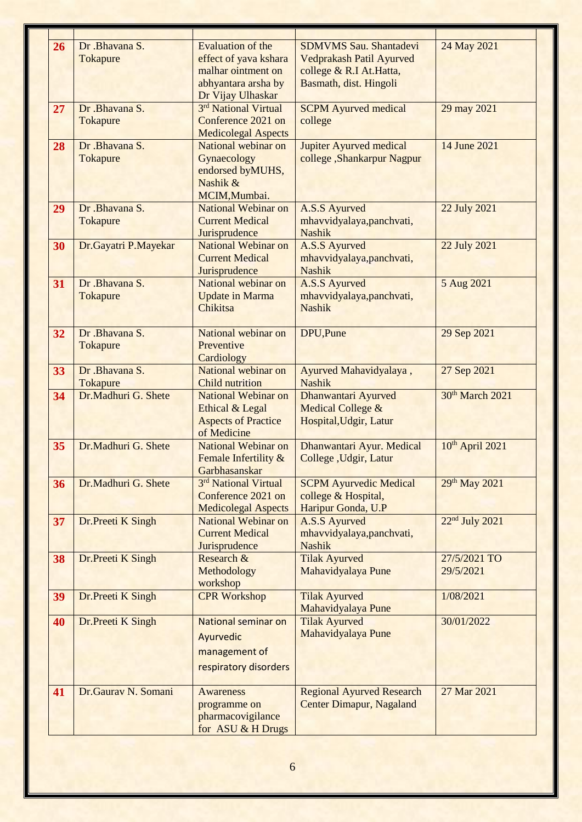| 26 | Dr .Bhavana S.       | <b>Evaluation of the</b>                    | <b>SDMVMS Sau. Shantadevi</b>                               | 24 May 2021                 |
|----|----------------------|---------------------------------------------|-------------------------------------------------------------|-----------------------------|
|    | Tokapure             | effect of yava kshara<br>malhar ointment on | <b>Vedprakash Patil Ayurved</b><br>college & R.I At. Hatta, |                             |
|    |                      | abhyantara arsha by                         | Basmath, dist. Hingoli                                      |                             |
|    |                      | Dr Vijay Ulhaskar                           |                                                             |                             |
| 27 | Dr .Bhavana S.       | 3rd National Virtual                        | <b>SCPM</b> Ayurved medical                                 | 29 may 2021                 |
|    | <b>Tokapure</b>      | Conference 2021 on                          | college                                                     |                             |
|    |                      | <b>Medicolegal Aspects</b>                  |                                                             |                             |
| 28 | Dr .Bhavana S.       | National webinar on                         | <b>Jupiter Ayurved medical</b>                              | 14 June 2021                |
|    | Tokapure             | Gynaecology                                 | college, Shankarpur Nagpur                                  |                             |
|    |                      | endorsed byMUHS,                            |                                                             |                             |
|    |                      | Nashik &                                    |                                                             |                             |
| 29 | Dr .Bhavana S.       | MCIM, Mumbai.<br><b>National Webinar on</b> | <b>A.S.S Ayurved</b>                                        | 22 July 2021                |
|    | <b>Tokapure</b>      | <b>Current Medical</b>                      | mhavvidyalaya, panchvati,                                   |                             |
|    |                      | Jurisprudence                               | <b>Nashik</b>                                               |                             |
| 30 | Dr.Gayatri P.Mayekar | <b>National Webinar on</b>                  | <b>A.S.S Ayurved</b>                                        | 22 July 2021                |
|    |                      | <b>Current Medical</b>                      | mhavvidyalaya, panchvati,                                   |                             |
|    |                      | Jurisprudence                               | <b>Nashik</b>                                               |                             |
| 31 | Dr .Bhavana S.       | National webinar on                         | <b>A.S.S Ayurved</b>                                        | 5 Aug 2021                  |
|    | Tokapure             | <b>Update in Marma</b>                      | mhavvidyalaya, panchvati,                                   |                             |
|    |                      | Chikitsa                                    | <b>Nashik</b>                                               |                             |
| 32 | Dr .Bhavana S.       | National webinar on                         | DPU, Pune                                                   | 29 Sep 2021                 |
|    | <b>Tokapure</b>      | Preventive                                  |                                                             |                             |
|    |                      | Cardiology                                  |                                                             |                             |
| 33 | Dr .Bhavana S.       | National webinar on                         | Ayurved Mahavidyalaya,                                      | 27 Sep 2021                 |
|    | Tokapure             | <b>Child nutrition</b>                      | <b>Nashik</b>                                               |                             |
| 34 | Dr.Madhuri G. Shete  | <b>National Webinar on</b>                  | Dhanwantari Ayurved                                         | 30th March 2021             |
|    |                      | Ethical & Legal                             | <b>Medical College &amp;</b>                                |                             |
|    |                      | <b>Aspects of Practice</b>                  | Hospital, Udgir, Latur                                      |                             |
|    | Dr.Madhuri G. Shete  | of Medicine<br>National Webinar on          |                                                             |                             |
| 35 |                      | Female Infertility &                        | Dhanwantari Ayur. Medical<br>College , Udgir, Latur         | 10 <sup>th</sup> April 2021 |
|    |                      | Garbhasanskar                               |                                                             |                             |
| 36 | Dr.Madhuri G. Shete  | 3rd National Virtual                        | <b>SCPM Ayurvedic Medical</b>                               | 29 <sup>th</sup> May 2021   |
|    |                      | Conference 2021 on                          | college & Hospital,                                         |                             |
|    |                      | <b>Medicolegal Aspects</b>                  | Haripur Gonda, U.P                                          |                             |
| 37 | Dr.Preeti K Singh    | <b>National Webinar on</b>                  | <b>A.S.S Ayurved</b>                                        | 22 <sup>nd</sup> July 2021  |
|    |                      | <b>Current Medical</b>                      | mhavvidyalaya, panchvati,                                   |                             |
|    |                      | Jurisprudence                               | <b>Nashik</b>                                               |                             |
| 38 | Dr.Preeti K Singh    | Research &                                  | <b>Tilak Ayurved</b>                                        | 27/5/2021 TO                |
|    |                      | Methodology<br>workshop                     | Mahavidyalaya Pune                                          | 29/5/2021                   |
| 39 | Dr.Preeti K Singh    | <b>CPR Workshop</b>                         | <b>Tilak Ayurved</b>                                        | 1/08/2021                   |
|    |                      |                                             | Mahavidyalaya Pune                                          |                             |
| 40 | Dr.Preeti K Singh    | National seminar on                         | <b>Tilak Ayurved</b>                                        | 30/01/2022                  |
|    |                      | Ayurvedic                                   | Mahavidyalaya Pune                                          |                             |
|    |                      | management of                               |                                                             |                             |
|    |                      |                                             |                                                             |                             |
|    |                      | respiratory disorders                       |                                                             |                             |
| 41 | Dr.Gaurav N. Somani  | <b>Awareness</b>                            | <b>Regional Ayurved Research</b>                            | 27 Mar 2021                 |
|    |                      | programme on                                | <b>Center Dimapur, Nagaland</b>                             |                             |
|    |                      | pharmacovigilance                           |                                                             |                             |
|    |                      | for ASU & H Drugs                           |                                                             |                             |
|    |                      |                                             |                                                             |                             |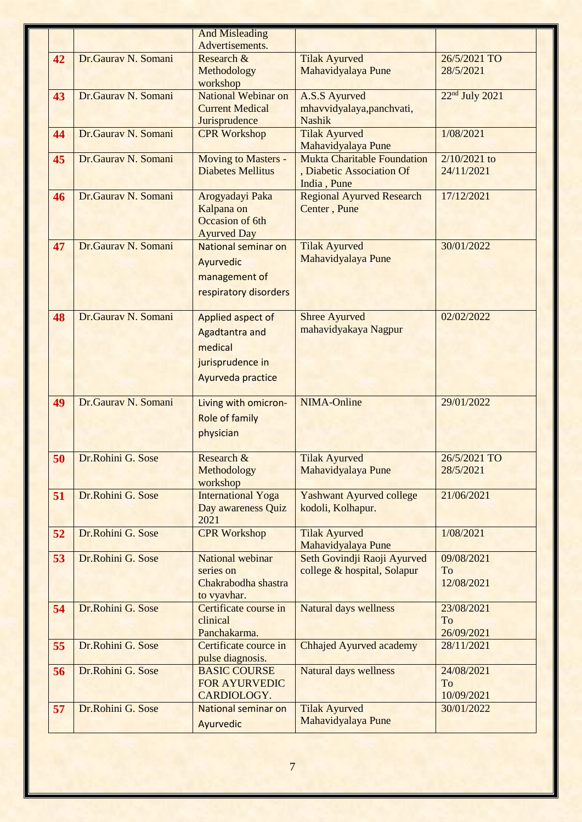|    |                     | <b>And Misleading</b>      |                                                            |                            |
|----|---------------------|----------------------------|------------------------------------------------------------|----------------------------|
|    |                     | Advertisements.            |                                                            |                            |
| 42 | Dr.Gaurav N. Somani | Research &                 | <b>Tilak Ayurved</b>                                       | 26/5/2021 TO               |
|    |                     | Methodology                | Mahavidyalaya Pune                                         | 28/5/2021                  |
|    |                     | workshop                   |                                                            |                            |
| 43 | Dr.Gaurav N. Somani | National Webinar on        | <b>A.S.S Ayurved</b>                                       | 22 <sup>nd</sup> July 2021 |
|    |                     | <b>Current Medical</b>     | mhavvidyalaya, panchvati,                                  |                            |
|    |                     | Jurisprudence              | <b>Nashik</b>                                              |                            |
| 44 | Dr.Gaurav N. Somani | <b>CPR Workshop</b>        | <b>Tilak Ayurved</b>                                       | 1/08/2021                  |
|    |                     |                            | Mahavidyalaya Pune                                         |                            |
| 45 | Dr.Gaurav N. Somani | Moving to Masters -        | <b>Mukta Charitable Foundation</b>                         | $2/10/2021$ to             |
|    |                     | <b>Diabetes Mellitus</b>   | , Diabetic Association Of                                  | 24/11/2021                 |
|    |                     |                            | India, Pune                                                |                            |
| 46 | Dr.Gaurav N. Somani | Arogyadayi Paka            | <b>Regional Ayurved Research</b>                           | 17/12/2021                 |
|    |                     | Kalpana on                 | Center, Pune                                               |                            |
|    |                     | Occasion of 6th            |                                                            |                            |
|    |                     | <b>Ayurved Day</b>         |                                                            |                            |
| 47 | Dr.Gaurav N. Somani | National seminar on        | <b>Tilak Ayurved</b>                                       | 30/01/2022                 |
|    |                     | Ayurvedic                  | Mahavidyalaya Pune                                         |                            |
|    |                     | management of              |                                                            |                            |
|    |                     | respiratory disorders      |                                                            |                            |
|    |                     |                            |                                                            |                            |
| 48 | Dr.Gaurav N. Somani | Applied aspect of          | <b>Shree Ayurved</b>                                       | 02/02/2022                 |
|    |                     | <b>Agadtantra and</b>      | mahavidyakaya Nagpur                                       |                            |
|    |                     | medical                    |                                                            |                            |
|    |                     | jurisprudence in           |                                                            |                            |
|    |                     |                            |                                                            |                            |
|    |                     | Ayurveda practice          |                                                            |                            |
| 49 | Dr.Gaurav N. Somani | Living with omicron-       | <b>NIMA-Online</b>                                         | 29/01/2022                 |
|    |                     | <b>Role of family</b>      |                                                            |                            |
|    |                     | physician                  |                                                            |                            |
|    |                     |                            |                                                            |                            |
| 50 | Dr.Rohini G. Sose   | Research $\&$              | <b>Tilak Ayurved</b>                                       | 26/5/2021 TO               |
|    |                     | Methodology                | Mahavidyalaya Pune                                         | 28/5/2021                  |
|    |                     | workshop                   |                                                            |                            |
| 51 | Dr.Rohini G. Sose   | <b>International Yoga</b>  | <b>Yashwant Ayurved college</b>                            | 21/06/2021                 |
|    |                     | Day awareness Quiz         | kodoli, Kolhapur.                                          |                            |
|    |                     | 2021                       |                                                            |                            |
| 52 | Dr.Rohini G. Sose   | <b>CPR Workshop</b>        | <b>Tilak Ayurved</b>                                       | 1/08/2021                  |
|    | Dr.Rohini G. Sose   | <b>National webinar</b>    | Mahavidyalaya Pune                                         | 09/08/2021                 |
| 53 |                     | series on                  | Seth Govindji Raoji Ayurved<br>college & hospital, Solapur | To                         |
|    |                     | Chakrabodha shastra        |                                                            | 12/08/2021                 |
|    |                     | to vyavhar.                |                                                            |                            |
| 54 | Dr.Rohini G. Sose   | Certificate course in      | <b>Natural days wellness</b>                               | 23/08/2021                 |
|    |                     | clinical                   |                                                            | To                         |
|    |                     | Panchakarma.               |                                                            | 26/09/2021                 |
| 55 | Dr.Rohini G. Sose   | Certificate cource in      | <b>Chhajed Ayurved academy</b>                             | 28/11/2021                 |
|    |                     | pulse diagnosis.           |                                                            |                            |
| 56 | Dr.Rohini G. Sose   | <b>BASIC COURSE</b>        | <b>Natural days wellness</b>                               | 24/08/2021                 |
|    |                     | <b>FOR AYURVEDIC</b>       |                                                            | To                         |
|    |                     | CARDIOLOGY.                |                                                            | 10/09/2021                 |
| 57 | Dr.Rohini G. Sose   | <b>National seminar on</b> | <b>Tilak Ayurved</b>                                       | 30/01/2022                 |
|    |                     | Ayurvedic                  | Mahavidyalaya Pune                                         |                            |
|    |                     |                            |                                                            |                            |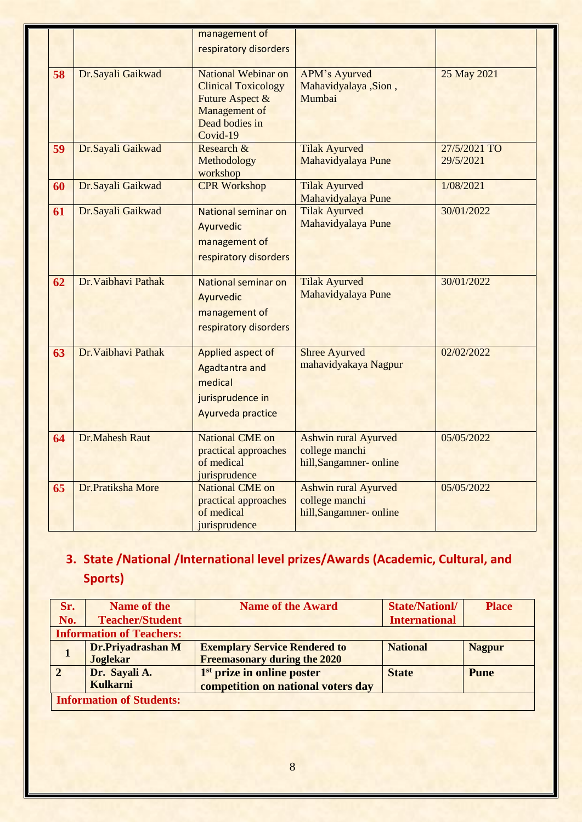|    |                       | management of              |                             |              |
|----|-----------------------|----------------------------|-----------------------------|--------------|
|    |                       | respiratory disorders      |                             |              |
|    |                       |                            |                             |              |
| 58 | Dr.Sayali Gaikwad     | National Webinar on        | <b>APM's Ayurved</b>        | 25 May 2021  |
|    |                       | <b>Clinical Toxicology</b> | Mahavidyalaya ,Sion,        |              |
|    |                       | Future Aspect &            | Mumbai                      |              |
|    |                       | Management of              |                             |              |
|    |                       | Dead bodies in             |                             |              |
|    |                       | Covid-19                   |                             |              |
| 59 | Dr.Sayali Gaikwad     | Research &                 | <b>Tilak Ayurved</b>        | 27/5/2021 TO |
|    |                       | Methodology                | Mahavidyalaya Pune          | 29/5/2021    |
|    |                       | workshop                   |                             |              |
|    | Dr.Sayali Gaikwad     | <b>CPR Workshop</b>        | <b>Tilak Ayurved</b>        | 1/08/2021    |
| 60 |                       |                            |                             |              |
|    |                       |                            | Mahavidyalaya Pune          | 30/01/2022   |
| 61 | Dr.Sayali Gaikwad     | National seminar on        | <b>Tilak Ayurved</b>        |              |
|    |                       | Ayurvedic                  | Mahavidyalaya Pune          |              |
|    |                       | management of              |                             |              |
|    |                       | respiratory disorders      |                             |              |
|    |                       |                            |                             |              |
| 62 | Dr. Vaibhavi Pathak   | National seminar on        | <b>Tilak Ayurved</b>        | 30/01/2022   |
|    |                       | Ayurvedic                  | Mahavidyalaya Pune          |              |
|    |                       |                            |                             |              |
|    |                       | management of              |                             |              |
|    |                       | respiratory disorders      |                             |              |
|    |                       |                            |                             |              |
| 63 | Dr. Vaibhavi Pathak   | Applied aspect of          | <b>Shree Ayurved</b>        | 02/02/2022   |
|    |                       | <b>Agadtantra and</b>      | mahavidyakaya Nagpur        |              |
|    |                       | medical                    |                             |              |
|    |                       |                            |                             |              |
|    |                       | jurisprudence in           |                             |              |
|    |                       | Ayurveda practice          |                             |              |
|    |                       |                            |                             |              |
| 64 | <b>Dr.Mahesh Raut</b> | <b>National CME on</b>     | <b>Ashwin rural Ayurved</b> | 05/05/2022   |
|    |                       | practical approaches       | college manchi              |              |
|    |                       | of medical                 | hill, Sangamner-online      |              |
|    |                       | jurisprudence              |                             |              |
| 65 | Dr.Pratiksha More     | <b>National CME on</b>     | <b>Ashwin rural Ayurved</b> | 05/05/2022   |
|    |                       | practical approaches       | college manchi              |              |
|    |                       | of medical                 | hill, Sangamner- online     |              |
|    |                       | jurisprudence              |                             |              |

## **3. State /National /International level prizes/Awards (Academic, Cultural, and Sports)**

| Sr.        | Name of the                     | <b>Name of the Award</b>               | <b>State/Nationl/</b> | <b>Place</b>  |
|------------|---------------------------------|----------------------------------------|-----------------------|---------------|
| No.        | <b>Teacher/Student</b>          |                                        | <b>International</b>  |               |
|            | <b>Information of Teachers:</b> |                                        |                       |               |
|            | Dr.Priyadrashan M               | <b>Exemplary Service Rendered to</b>   | <b>National</b>       | <b>Nagpur</b> |
|            | <b>Joglekar</b>                 | <b>Freemasonary during the 2020</b>    |                       |               |
| $\sqrt{2}$ | Dr. Sayali A.                   | 1 <sup>st</sup> prize in online poster | <b>State</b>          | <b>Pune</b>   |
|            | <b>Kulkarni</b>                 | competition on national voters day     |                       |               |
|            | <b>Information of Students:</b> |                                        |                       |               |